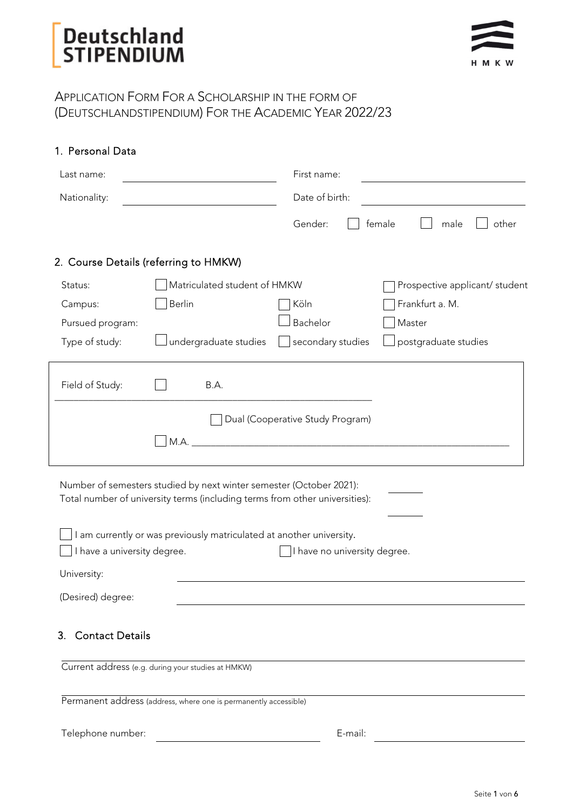### APPLICATION FORM FOR A SCHOLARSHIP IN THE FORM OF (DEUTSCHLANDSTIPENDIUM) FOR THE ACADEMIC YEAR 2022/23

| 1. Personal Data                      |                                                                                                                                                    |                                  |                                |
|---------------------------------------|----------------------------------------------------------------------------------------------------------------------------------------------------|----------------------------------|--------------------------------|
| Last name:                            |                                                                                                                                                    | First name:                      |                                |
| Nationality:                          |                                                                                                                                                    | Date of birth:                   |                                |
|                                       |                                                                                                                                                    | Gender:                          | female<br>other<br>male        |
| 2. Course Details (referring to HMKW) |                                                                                                                                                    |                                  |                                |
| Status:                               | Matriculated student of HMKW                                                                                                                       |                                  | Prospective applicant/ student |
| Campus:                               | Berlin                                                                                                                                             | Köln                             | Frankfurt a. M.                |
| Pursued program:                      |                                                                                                                                                    | Bachelor                         | Master                         |
| Type of study:                        | undergraduate studies                                                                                                                              | secondary studies                | postgraduate studies           |
| Field of Study:                       | B.A.                                                                                                                                               |                                  |                                |
|                                       |                                                                                                                                                    | Dual (Cooperative Study Program) |                                |
|                                       | Number of semesters studied by next winter semester (October 2021):<br>Total number of university terms (including terms from other universities): |                                  |                                |
|                                       | I am currently or was previously matriculated at another university.                                                                               |                                  |                                |
| I have a university degree.           |                                                                                                                                                    | I have no university degree.     |                                |
| University:                           |                                                                                                                                                    |                                  |                                |
| (Desired) degree:                     |                                                                                                                                                    |                                  |                                |
| <b>Contact Details</b><br>3.          |                                                                                                                                                    |                                  |                                |
|                                       | Current address (e.g. during your studies at HMKW)                                                                                                 |                                  |                                |
|                                       | Permanent address (address, where one is permanently accessible)                                                                                   |                                  |                                |

E-mail: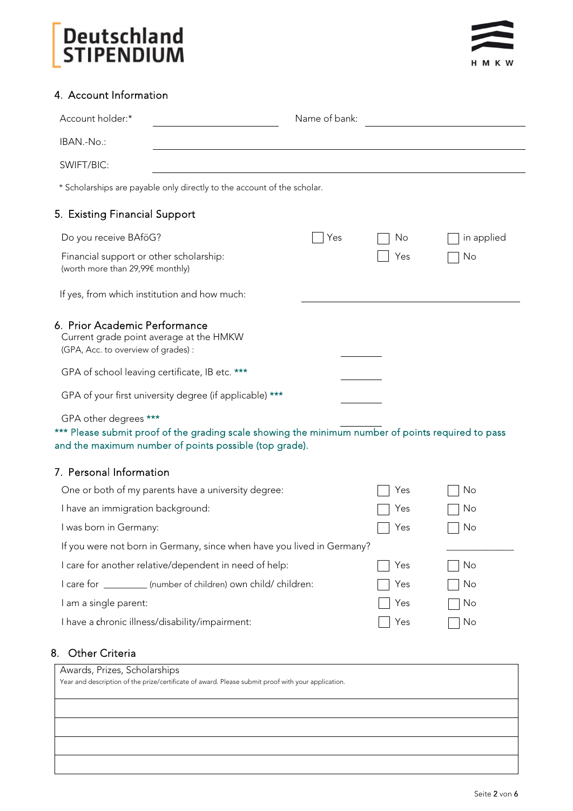

### 4. Account Information

| Account holder:*<br>Name of bank:                                                                                                                                                     |     |     |            |
|---------------------------------------------------------------------------------------------------------------------------------------------------------------------------------------|-----|-----|------------|
| IBAN.-No.:                                                                                                                                                                            |     |     |            |
| SWIFT/BIC:                                                                                                                                                                            |     |     |            |
| * Scholarships are payable only directly to the account of the scholar.                                                                                                               |     |     |            |
| 5. Existing Financial Support                                                                                                                                                         |     |     |            |
| Do you receive BAföG?                                                                                                                                                                 | Yes | No  | in applied |
| Financial support or other scholarship:<br>(worth more than 29,99€ monthly)                                                                                                           |     | Yes | No         |
| If yes, from which institution and how much:                                                                                                                                          |     |     |            |
| 6. Prior Academic Performance<br>Current grade point average at the HMKW<br>(GPA, Acc. to overview of grades) :<br>GPA of school leaving certificate, IB etc. ***                     |     |     |            |
|                                                                                                                                                                                       |     |     |            |
| GPA of your first university degree (if applicable) ***                                                                                                                               |     |     |            |
| GPA other degrees ***<br>*** Please submit proof of the grading scale showing the minimum number of points required to pass<br>and the maximum number of points possible (top grade). |     |     |            |
| 7. Personal Information                                                                                                                                                               |     |     |            |
| One or both of my parents have a university degree:                                                                                                                                   |     | Yes | No         |
| I have an immigration background:                                                                                                                                                     |     | Yes | No         |
| I was born in Germany:                                                                                                                                                                |     | Yes | No         |
| If you were not born in Germany, since when have you lived in Germany?                                                                                                                |     |     |            |
| I care for another relative/dependent in need of help:                                                                                                                                |     | Yes | No         |
| I care for __________ (number of children) own child/ children:                                                                                                                       |     | Yes | No         |
| I am a single parent:                                                                                                                                                                 |     | Yes | No         |
| I have a chronic illness/disability/impairment:                                                                                                                                       |     | Yes | No         |

## 8. Other Criteria

| Awards, Prizes, Scholarships                                                                       |  |  |
|----------------------------------------------------------------------------------------------------|--|--|
| Year and description of the prize/certificate of award. Please submit proof with your application. |  |  |
|                                                                                                    |  |  |
|                                                                                                    |  |  |
|                                                                                                    |  |  |
|                                                                                                    |  |  |
|                                                                                                    |  |  |
|                                                                                                    |  |  |
|                                                                                                    |  |  |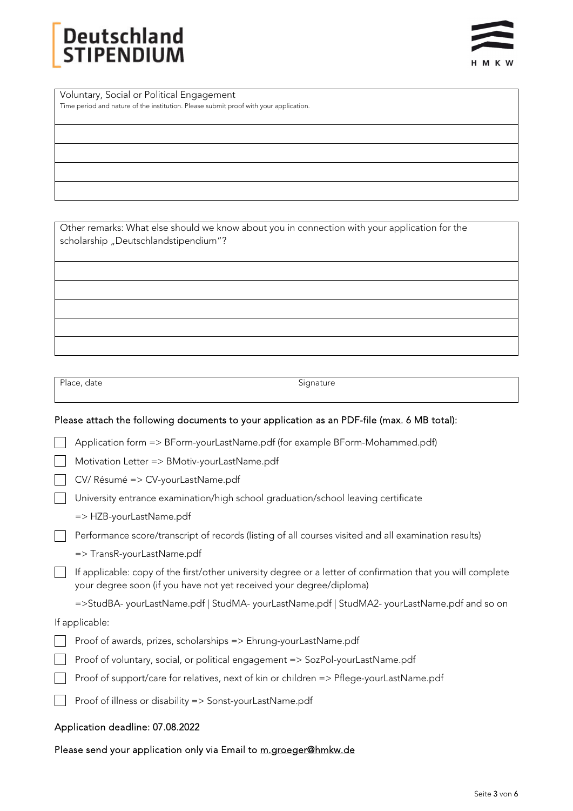# Deutschlan<mark>d</mark><br>STIPENDIUM



Voluntary, Social or Political Engagement Time period and nature of the institution. Please submit proof with your application.

Other remarks: What else should we know about you in connection with your application for the scholarship "Deutschlandstipendium"?

Place, date Signature

### Please attach the following documents to your application as an PDF-file (max. 6 MB total):

Application form => BForm-yourLastName.pdf (for example BForm-Mohammed.pdf)

Motivation Letter => BMotiv-yourLastName.pdf

CV/ Résumé => CV-yourLastName.pdf

University entrance examination/high school graduation/school leaving certificate

- => HZB-yourLastName.pdf
- Performance score/transcript of records (listing of all courses visited and all examination results)
	- => TransR-yourLastName.pdf
- $\Box$  If applicable: copy of the first/other university degree or a letter of confirmation that you will complete your degree soon (if you have not yet received your degree/diploma)

=>StudBA- yourLastName.pdf | StudMA- yourLastName.pdf | StudMA2- yourLastName.pdf and so on

If applicable:

- Proof of awards, prizes, scholarships => Ehrung-yourLastName.pdf
- Proof of voluntary, social, or political engagement => SozPol-yourLastName.pdf
- Proof of support/care for relatives, next of kin or children => Pflege-yourLastName.pdf
- Proof of illness or disability => Sonst-yourLastName.pdf

#### Application deadline: 07.08.2022

#### Please send your application only via Email to m.groeger@hmkw.de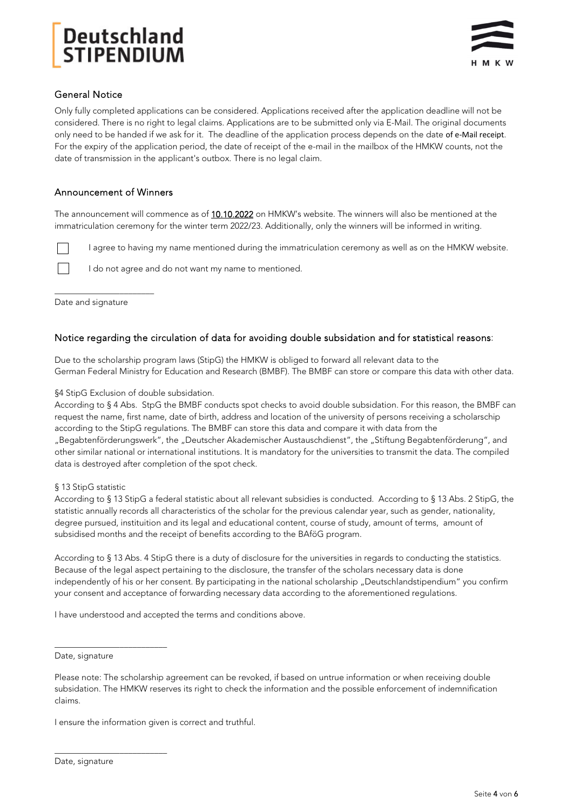

### General Notice

Only fully completed applications can be considered. Applications received after the application deadline will not be considered. There is no right to legal claims. Applications are to be submitted only via E-Mail. The original documents only need to be handed if we ask for it. The deadline of the application process depends on the date of e‐Mail receipt. For the expiry of the application period, the date of receipt of the e-mail in the mailbox of the HMKW counts, not the date of transmission in the applicant's outbox. There is no legal claim.

### Announcement of Winners

The announcement will commence as of 10.10.2022 on HMKW's website. The winners will also be mentioned at the immatriculation ceremony for the winter term 2022/23. Additionally, only the winners will be informed in writing.

I agree to having my name mentioned during the immatriculation ceremony as well as on the HMKW website.

I do not agree and do not want my name to mentioned.

Date and signature

 $\mathbf{L}$ 

 $\Box$ 

\_\_\_\_\_\_\_\_\_\_\_\_\_\_\_\_\_\_\_\_\_\_\_

#### Notice regarding the circulation of data for avoiding double subsidation and for statistical reasons:

Due to the scholarship program laws (StipG) the HMKW is obliged to forward all relevant data to the German Federal Ministry for Education and Research (BMBF). The BMBF can store or compare this data with other data.

#### §4 StipG Exclusion of double subsidation.

According to § 4 Abs. StpG the BMBF conducts spot checks to avoid double subsidation. For this reason, the BMBF can request the name, first name, date of birth, address and location of the university of persons receiving a scholarschip according to the StipG regulations. The BMBF can store this data and compare it with data from the "Begabtenförderungswerk", the "Deutscher Akademischer Austauschdienst", the "Stiftung Begabtenförderung", and other similar national or international institutions. It is mandatory for the universities to transmit the data. The compiled data is destroyed after completion of the spot check.

#### § 13 StipG statistic

According to § 13 StipG a federal statistic about all relevant subsidies is conducted. According to § 13 Abs. 2 StipG, the statistic annually records all characteristics of the scholar for the previous calendar year, such as gender, nationality, degree pursued, instituition and its legal and educational content, course of study, amount of terms, amount of subsidised months and the receipt of benefits according to the BAföG program.

According to § 13 Abs. 4 StipG there is a duty of disclosure for the universities in regards to conducting the statistics. Because of the legal aspect pertaining to the disclosure, the transfer of the scholars necessary data is done independently of his or her consent. By participating in the national scholarship "Deutschlandstipendium" you confirm your consent and acceptance of forwarding necessary data according to the aforementioned regulations.

I have understood and accepted the terms and conditions above.

Date, signature

\_\_\_\_\_\_\_\_\_\_\_\_\_\_\_\_\_\_\_\_\_\_\_\_\_\_

\_\_\_\_\_\_\_\_\_\_\_\_\_\_\_\_\_\_\_\_\_\_\_\_\_\_

I ensure the information given is correct and truthful.

Please note: The scholarship agreement can be revoked, if based on untrue information or when receiving double subsidation. The HMKW reserves its right to check the information and the possible enforcement of indemnification claims.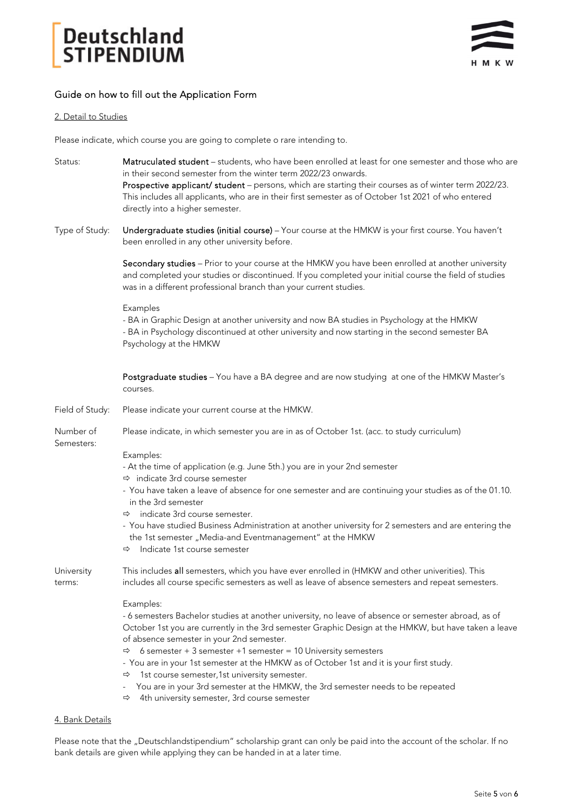

### Guide on how to fill out the Application Form

#### 2. Detail to Studies

Please indicate, which course you are going to complete o rare intending to.

- Status: Matruculated student students, who have been enrolled at least for one semester and those who are in their second semester from the winter term 2022/23 onwards. Prospective applicant/ student – persons, which are starting their courses as of winter term 2022/23. This includes all applicants, who are in their first semester as of October 1st 2021 of who entered directly into a higher semester.
- Type of Study: Undergraduate studies (initial course) Your course at the HMKW is your first course. You haven't been enrolled in any other university before.

Secondary studies - Prior to your course at the HMKW you have been enrolled at another university and completed your studies or discontinued. If you completed your initial course the field of studies was in a different professional branch than your current studies.

#### Examples

- BA in Graphic Design at another university and now BA studies in Psychology at the HMKW

- BA in Psychology discontinued at other university and now starting in the second semester BA Psychology at the HMKW

Postgraduate studies - You have a BA degree and are now studying at one of the HMKW Master's courses.

| Field of Study:         | Please indicate your current course at the HMKW.                                                                                                                                                      |
|-------------------------|-------------------------------------------------------------------------------------------------------------------------------------------------------------------------------------------------------|
| Number of<br>Semesters: | Please indicate, in which semester you are in as of October 1st. (acc. to study curriculum)                                                                                                           |
|                         | Examples:                                                                                                                                                                                             |
|                         | - At the time of application (e.g. June 5th.) you are in your 2nd semester                                                                                                                            |
|                         | $\Rightarrow$ indicate 3rd course semester                                                                                                                                                            |
|                         | - You have taken a leave of absence for one semester and are continuing your studies as of the 01.10.<br>in the 3rd semester                                                                          |
|                         | $\Rightarrow$ indicate 3rd course semester.                                                                                                                                                           |
|                         | - You have studied Business Administration at another university for 2 semesters and are entering the<br>the 1st semester "Media-and Eventmanagement" at the HMKW                                     |
|                         | $\Rightarrow$ Indicate 1st course semester                                                                                                                                                            |
| University<br>terms:    | This includes all semesters, which you have ever enrolled in (HMKW and other univerities). This<br>includes all course specific semesters as well as leave of absence semesters and repeat semesters. |
|                         | Examples:                                                                                                                                                                                             |
|                         | - 6 semesters Bachelor studies at another university, no leave of absence or semester abroad, as of                                                                                                   |
|                         | October 1st you are currently in the 3rd semester Graphic Design at the HMKW, but have taken a leave<br>of absence semester in your 2nd semester.                                                     |
|                         | $\Rightarrow$ 6 semester + 3 semester +1 semester = 10 University semesters                                                                                                                           |
|                         | - You are in your 1st semester at the HMKW as of October 1st and it is your first study.                                                                                                              |
|                         | 1st course semester, 1st university semester.<br>⇨                                                                                                                                                    |
|                         | - You are in your 3rd semester at the HMKW, the 3rd semester needs to be repeated                                                                                                                     |
|                         | 4th university semester, 3rd course semester<br>$\Rightarrow$                                                                                                                                         |

#### 4. Bank Details

Please note that the "Deutschlandstipendium" scholarship grant can only be paid into the account of the scholar. If no bank details are given while applying they can be handed in at a later time.